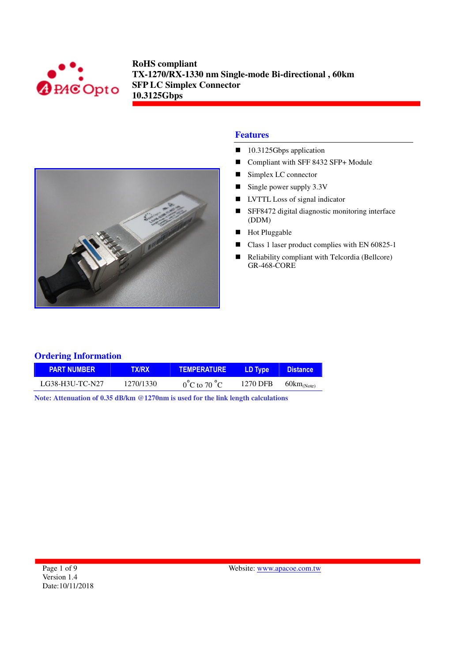



### **Features**

- 10.3125Gbps application
- Compliant with SFF 8432 SFP+ Module
- Simplex LC connector
- $\blacksquare$  Single power supply 3.3V
- **LVTTL** Loss of signal indicator
- SFF8472 digital diagnostic monitoring interface (DDM)
- **Hot Pluggable**
- Class 1 laser product complies with EN 60825-1
- Reliability compliant with Telcordia (Bellcore) GR-468-CORE

### **Ordering Information**

| <b>PART NUMBER</b> | <b>TX/RX</b> | <b>TEMPERATURE</b>               | LD Type  | <b>Distance</b>                  |
|--------------------|--------------|----------------------------------|----------|----------------------------------|
| LG38-H3U-TC-N27    | 1270/1330    | $0^{\circ}$ C to 70 $^{\circ}$ C | 1270 DFB | $60 \text{km}$ <sub>(Note)</sub> |

**Note: Attenuation of 0.35 dB/km @1270nm is used for the link length calculations**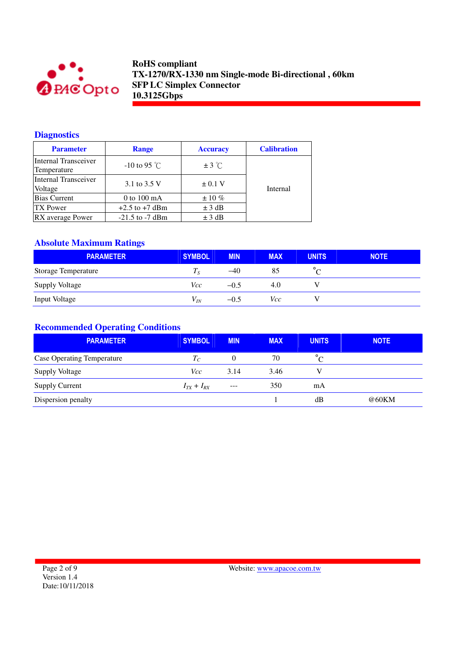

## **Diagnostics**

| <b>Parameter</b>                    | <b>Range</b>          | <b>Accuracy</b> | <b>Calibration</b> |
|-------------------------------------|-----------------------|-----------------|--------------------|
| Internal Transceiver<br>Temperature | $-10$ to 95 °C        | $\pm$ 3 °C      |                    |
| Internal Transceiver<br>Voltage     | 3.1 to 3.5 V          | $\pm$ 0.1 V     | Internal           |
| <b>Bias Current</b>                 | 0 to $100 \text{ mA}$ | $\pm 10\%$      |                    |
| <b>TX</b> Power                     | $+2.5$ to $+7$ dBm    | $\pm$ 3 dB      |                    |
| RX average Power                    | $-21.5$ to $-7$ dBm   | $\pm$ 3 dB      |                    |

# **Absolute Maximum Ratings**

| <b>PARAMETER</b>           | <b>SYMBOL</b> | <b>MIN</b> | <b>MAX</b> | <b>UNITS</b> | <b>NOTE</b> |
|----------------------------|---------------|------------|------------|--------------|-------------|
| <b>Storage Temperature</b> | $T_S$         | $-40$      | 85         |              |             |
| <b>Supply Voltage</b>      | Vcc           | $-0.5$     | 4.0        |              |             |
| <b>Input Voltage</b>       | $V_{IN}$      | $-0.5$     | Vcc        |              |             |

# **Recommended Operating Conditions**

| <b>PARAMETER</b>                  | <b>SYMBOL</b>              | <b>MIN</b> | <b>MAX</b> | <b>UNITS</b> | <b>NOTE</b> |
|-----------------------------------|----------------------------|------------|------------|--------------|-------------|
| <b>Case Operating Temperature</b> | $T_{\scriptscriptstyle C}$ | $\theta$   | 70         | $^{\circ}$ C |             |
| <b>Supply Voltage</b>             | Vcc.                       | 3.14       | 3.46       |              |             |
| <b>Supply Current</b>             | $I_{TX} + I_{RX}$          | $---$      | 350        | mA           |             |
| Dispersion penalty                |                            |            |            | dВ           | @60KM       |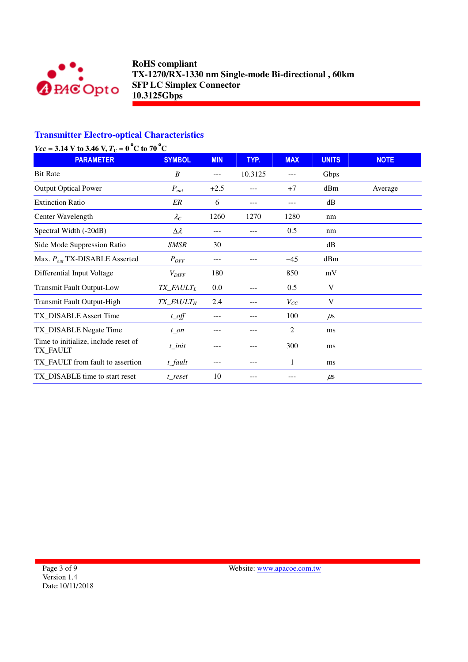

# **Transmitter Electro-optical Characteristics**

| $Vcc = 3.14$ V to 3.46 V, $T_c = 0$ °C to 70 °C |
|-------------------------------------------------|
|-------------------------------------------------|

| <b>PARAMETER</b>                                 | <b>SYMBOL</b>                      | <b>MIN</b> | TYP.    | <b>MAX</b> | <b>UNITS</b> | <b>NOTE</b> |
|--------------------------------------------------|------------------------------------|------------|---------|------------|--------------|-------------|
| <b>Bit Rate</b>                                  | B                                  | ---        | 10.3125 |            | Gbps         |             |
| <b>Output Optical Power</b>                      | $P_{out}$                          | $+2.5$     | ---     | $+7$       | dBm          | Average     |
| <b>Extinction Ratio</b>                          | ER                                 | 6          | ---     | $- - -$    | dB           |             |
| Center Wavelength                                | $\lambda_C$                        | 1260       | 1270    | 1280       | nm           |             |
| Spectral Width (-20dB)                           | $\Delta \lambda$                   | ---        | ---     | 0.5        | nm           |             |
| Side Mode Suppression Ratio                      | <b>SMSR</b>                        | 30         |         |            | dB           |             |
| Max. $P_{out}$ TX-DISABLE Asserted               | $P_{OFF}$                          | ---        |         | $-45$      | dBm          |             |
| Differential Input Voltage                       | $V_{DIFF}$                         | 180        |         | 850        | mV           |             |
| <b>Transmit Fault Output-Low</b>                 | TX_FAULT <sub>L</sub>              | 0.0        | ---     | 0.5        | V            |             |
| Transmit Fault Output-High                       | $TX$ <sub>_FAULT<sub>H</sub></sub> | 2.4        | ---     | $V_{CC}$   | V            |             |
| TX_DISABLE Assert Time                           | $t$ _off                           | ---        | ---     | 100        | $\mu$ s      |             |
| TX_DISABLE Negate Time                           | $t$ on                             | ---        | ---     | 2          | ms           |             |
| Time to initialize, include reset of<br>TX_FAULT | t init                             |            |         | 300        | ms           |             |
| TX_FAULT from fault to assertion                 | $t$ _fault                         | ---        | ---     | 1          | ms           |             |
| TX_DISABLE time to start reset                   | t reset                            | 10         | ---     |            | $\mu$ s      |             |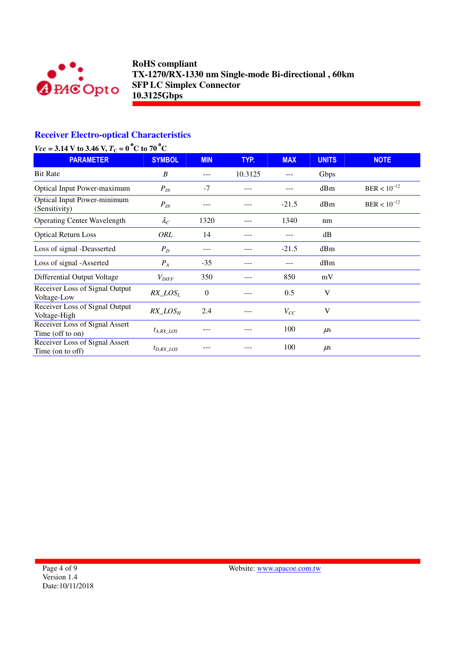

# **Receiver Electro-optical Characteristics**

| $Vcc = 3.14$ V to 3.46 V, $T_C = 0$ °C to 70°C     |                   |            |         |            |              |                  |
|----------------------------------------------------|-------------------|------------|---------|------------|--------------|------------------|
| <b>PARAMETER</b>                                   | <b>SYMBOL</b>     | <b>MIN</b> | TYP.    | <b>MAX</b> | <b>UNITS</b> | <b>NOTE</b>      |
| <b>Bit Rate</b>                                    | B                 | ---        | 10.3125 |            | Gbps         |                  |
| <b>Optical Input Power-maximum</b>                 | $P_{I\!N}$        | $-7$       | ---     |            | dBm          | $BER < 10^{-12}$ |
| Optical Input Power-minimum<br>(Sensitivity)       | $P_{IN}$          | ---        |         | $-21.5$    | dBm          | $BER < 10^{-12}$ |
| <b>Operating Center Wavelength</b>                 | $\lambda_C$       | 1320       |         | 1340       | nm           |                  |
| <b>Optical Return Loss</b>                         | ORL               | 14         | ---     | ---        | dB           |                  |
| Loss of signal -Deasserted                         | $P_D$             | ---        |         | $-21.5$    | dBm          |                  |
| Loss of signal -Asserted                           | $P_A$             | $-35$      | ---     | ---        | dBm          |                  |
| Differential Output Voltage                        | $V_{\text{DIFF}}$ | 350        |         | 850        | mV           |                  |
| Receiver Loss of Signal Output<br>Voltage-Low      | $RX\_LOS_L$       | $\theta$   |         | 0.5        | V            |                  |
| Receiver Loss of Signal Output<br>Voltage-High     | $RX\_LOS_H$       | 2.4        |         | $V_{CC}$   | V            |                  |
| Receiver Loss of Signal Assert<br>Time (off to on) | $t_{A, RX\_LOS}$  |            |         | 100        | $\mu$ s      |                  |
| Receiver Loss of Signal Assert<br>Time (on to off) | $t_{D,RX\_LOS}$   |            |         | 100        | $\mu$ s      |                  |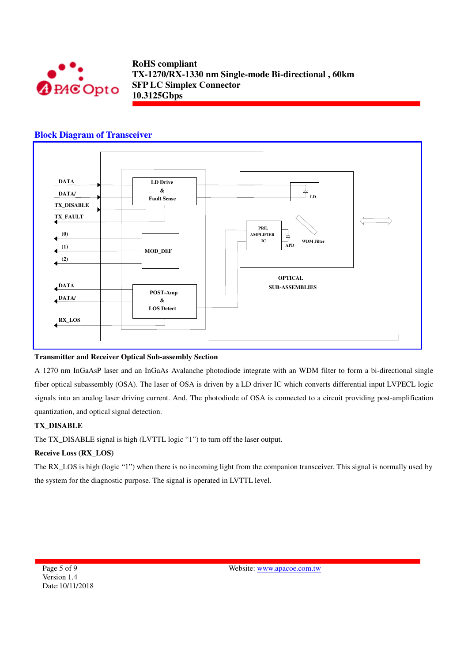

### **Block Diagram of Transceiver**



#### **Transmitter and Receiver Optical Sub-assembly Section**

A 1270 nm InGaAsP laser and an InGaAs Avalanche photodiode integrate with an WDM filter to form a bi-directional single fiber optical subassembly (OSA). The laser of OSA is driven by a LD driver IC which converts differential input LVPECL logic signals into an analog laser driving current. And, The photodiode of OSA is connected to a circuit providing post-amplification quantization, and optical signal detection.

#### **TX\_DISABLE**

The TX\_DISABLE signal is high (LVTTL logic "1") to turn off the laser output.

### **Receive Loss (RX\_LOS)**

The RX\_LOS is high (logic "1") when there is no incoming light from the companion transceiver. This signal is normally used by the system for the diagnostic purpose. The signal is operated in LVTTL level.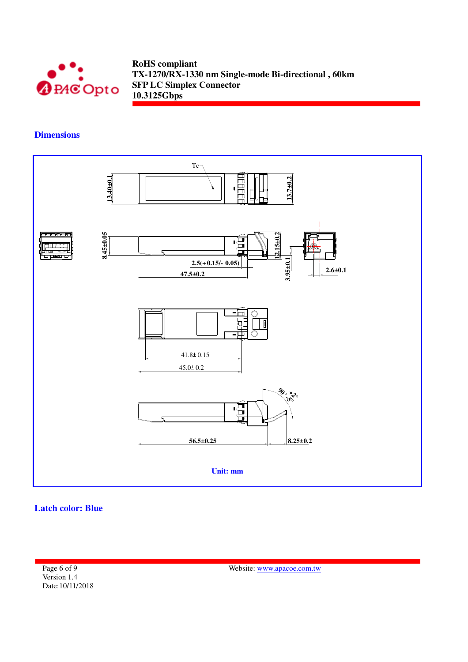

**Dimensions** 



**Latch color: Blue** 

Page 6 of 9 Version 1.4 Date:10/11/2018

Website: www.apacoe.com.tw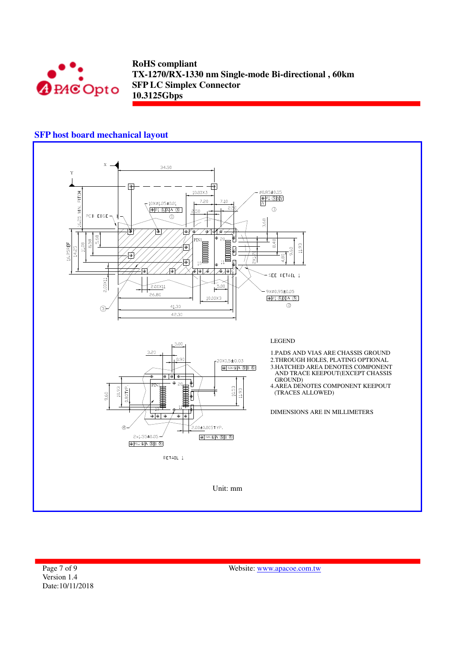

### **SFP host board mechanical layout**



Page 7 of 9 Version 1.4 Date:10/11/2018

Website: www.apacoe.com.tw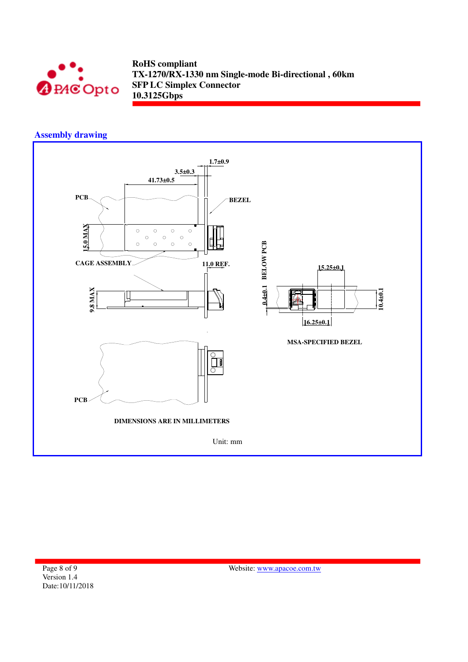

## **Assembly drawing**